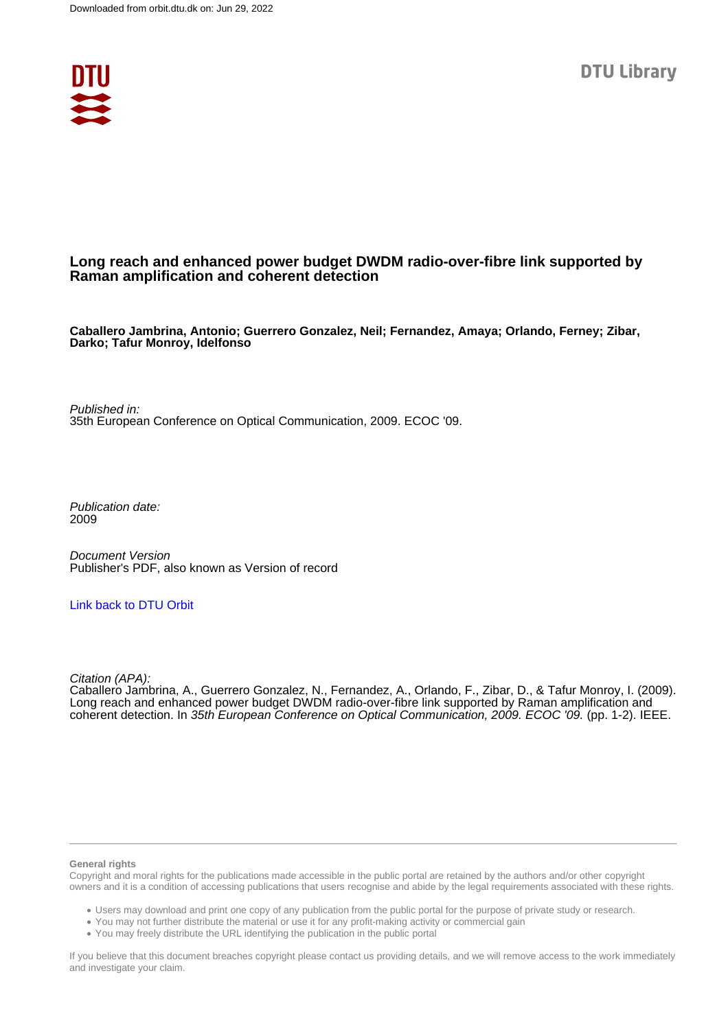

## **Long reach and enhanced power budget DWDM radio-over-fibre link supported by Raman amplification and coherent detection**

**Caballero Jambrina, Antonio; Guerrero Gonzalez, Neil; Fernandez, Amaya; Orlando, Ferney; Zibar, Darko; Tafur Monroy, Idelfonso**

Published in: 35th European Conference on Optical Communication, 2009. ECOC '09.

Publication date: 2009

Document Version Publisher's PDF, also known as Version of record

#### [Link back to DTU Orbit](https://orbit.dtu.dk/en/publications/947ffbdf-a0f5-4fac-aa5d-a781f9bb3581)

Citation (APA):

Caballero Jambrina, A., Guerrero Gonzalez, N., Fernandez, A., Orlando, F., Zibar, D., & Tafur Monroy, I. (2009). Long reach and enhanced power budget DWDM radio-over-fibre link supported by Raman amplification and coherent detection. In 35th European Conference on Optical Communication, 2009. ECOC '09. (pp. 1-2). IEEE.

#### **General rights**

Copyright and moral rights for the publications made accessible in the public portal are retained by the authors and/or other copyright owners and it is a condition of accessing publications that users recognise and abide by the legal requirements associated with these rights.

Users may download and print one copy of any publication from the public portal for the purpose of private study or research.

- You may not further distribute the material or use it for any profit-making activity or commercial gain
- You may freely distribute the URL identifying the publication in the public portal

If you believe that this document breaches copyright please contact us providing details, and we will remove access to the work immediately and investigate your claim.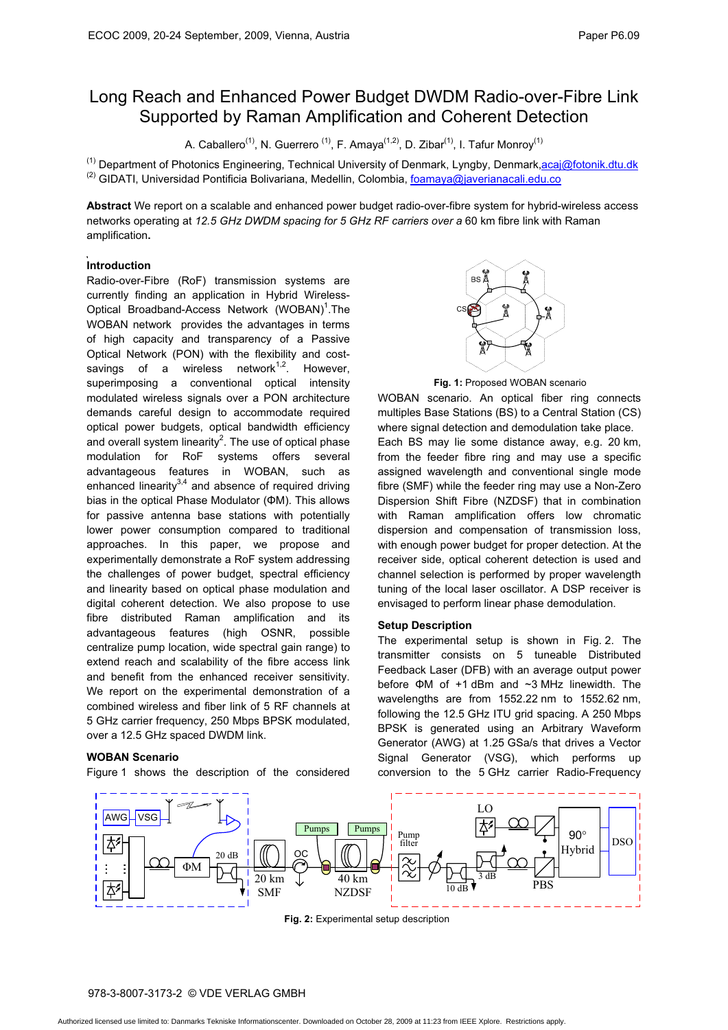# Long Reach and Enhanced Power Budget DWDM Radio-over-Fibre Link Supported by Raman Amplification and Coherent Detection

A. Caballero<sup>(1)</sup>, N. Guerrero<sup>(1)</sup>, F. Amaya<sup>(1,2)</sup>, D. Zibar<sup>(1)</sup>, I. Tafur Monroy<sup>(1)</sup>

<sup>(1)</sup> Department of Photonics Engineering, Technical University of Denmark, Lyngby, Denmark<u>,acaj@fotonik.dtu.dk</u> (2)<br><sup>(2)</sup> GIDATI, Universidad Pontificia Bolivariana, Medellin, Colombia, <u>foamaya@javerianacali.edu.co</u>

**Abstract** We report on a scalable and enhanced power budget radio-over-fibre system for hybrid-wireless access networks operating at *12.5 GHz DWDM spacing for 5 GHz RF carriers over a* 60 km fibre link with Raman amplification**.**

### **Introduction**

Radio-over-Fibre (RoF) transmission systems are currently finding an application in Hybrid Wireless-Optical Broadband-Access Network (WOBAN)<sup>1</sup>. The WOBAN network provides the advantages in terms of high capacity and transparency of a Passive Optical Network (PON) with the flexibility and costsavings of a wireless network $1,2$ . However, superimposing a conventional optical intensity modulated wireless signals over a PON architecture demands careful design to accommodate required optical power budgets, optical bandwidth efficiency and overall system linearity<sup>2</sup>. The use of optical phase modulation for RoF systems offers several advantageous features in WOBAN, such as enhanced linearity $3,4$  and absence of required driving bias in the optical Phase Modulator ( $\Phi$ M). This allows for passive antenna base stations with potentially lower power consumption compared to traditional approaches. In this paper, we propose and experimentally demonstrate a RoF system addressing the challenges of power budget, spectral efficiency and linearity based on optical phase modulation and digital coherent detection. We also propose to use fibre distributed Raman amplification and its advantageous features (high OSNR, possible centralize pump location, wide spectral gain range) to extend reach and scalability of the fibre access link and benefit from the enhanced receiver sensitivity. We report on the experimental demonstration of a combined wireless and fiber link of 5 RF channels at 5 GHz carrier frequency, 250 Mbps BPSK modulated, over a 12.5 GHz spaced DWDM link.

#### **WOBAN Scenario**

Figure 1 shows the description of the considered



**Fig. 1:** Proposed WOBAN scenario

WOBAN scenario. An optical fiber ring connects multiples Base Stations (BS) to a Central Station (CS) where signal detection and demodulation take place. Each BS may lie some distance away, e.g. 20 km, from the feeder fibre ring and may use a specific assigned wavelength and conventional single mode fibre (SMF) while the feeder ring may use a Non-Zero Dispersion Shift Fibre (NZDSF) that in combination with Raman amplification offers low chromatic dispersion and compensation of transmission loss, with enough power budget for proper detection. At the receiver side, optical coherent detection is used and channel selection is performed by proper wavelength tuning of the local laser oscillator. A DSP receiver is envisaged to perform linear phase demodulation.

#### **Setup Description**

The experimental setup is shown in Fig. 2. The transmitter consists on 5 tuneable Distributed Feedback Laser (DFB) with an average output power before  $\Phi$ M of +1 dBm and  $\sim$ 3 MHz linewidth. The wavelengths are from 1552.22 nm to 1552.62 nm, following the 12.5 GHz ITU grid spacing. A 250 Mbps BPSK is generated using an Arbitrary Waveform Generator (AWG) at 1.25 GSa/s that drives a Vector Signal Generator (VSG), which performs up conversion to the 5 GHz carrier Radio-Frequency



**Fig. 2:** Experimental setup description